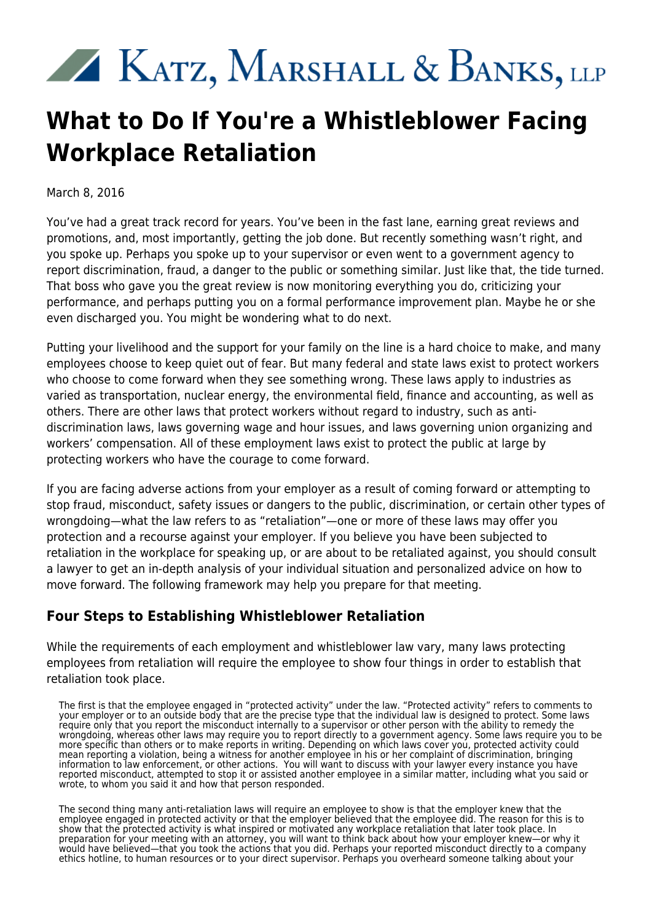## XX KATZ, MARSHALL & BANKS, LLP

## **What to Do If You're a Whistleblower Facing Workplace Retaliation**

March 8, 2016

You've had a great track record for years. You've been in the fast lane, earning great reviews and promotions, and, most importantly, getting the job done. But recently something wasn't right, and you spoke up. Perhaps you spoke up to your supervisor or even went to a government agency to report discrimination, fraud, a danger to the public or something similar. Just like that, the tide turned. That boss who gave you the great review is now monitoring everything you do, criticizing your performance, and perhaps putting you on a formal performance improvement plan. Maybe he or she even discharged you. You might be wondering what to do next.

Putting your livelihood and the support for your family on the line is a hard choice to make, and many employees choose to keep quiet out of fear. But many federal and state laws exist to protect workers who choose to come forward when they see something wrong. These laws apply to industries as varied as transportation, nuclear energy, the environmental field, finance and accounting, as well as others. There are other laws that protect workers without regard to industry, such as antidiscrimination laws, laws governing wage and hour issues, and laws governing union organizing and workers' compensation. All of these employment laws exist to protect the public at large by protecting workers who have the courage to come forward.

If you are facing adverse actions from your employer as a result of coming forward or attempting to stop fraud, misconduct, safety issues or dangers to the public, discrimination, or certain other types of wrongdoing—what the law refers to as "retaliation"—one or more of these laws may offer you protection and a recourse against your employer. If you believe you have been subjected to retaliation in the workplace for speaking up, or are about to be retaliated against, you should consult a lawyer to get an in-depth analysis of your individual situation and personalized advice on how to move forward. The following framework may help you prepare for that meeting.

## **Four Steps to Establishing Whistleblower Retaliation**

While the requirements of each employment and whistleblower law vary, many laws protecting employees from retaliation will require the employee to show four things in order to establish that retaliation took place.

The first is that the employee engaged in "protected activity" under the law. "Protected activity" refers to comments to your employer or to an outside body that are the precise type that the individual law is designed to protect. Some laws require only that you report the misconduct internally to a supervisor or other person with the ability to remedy the wrongdoing, whereas other laws may require you to report directly to a government agency. Some laws require you to be more specific than others or to make reports in writing. Depending on which laws cover you, protected activity could mean reporting a violation, being a witness for another employee in his or her complaint of discrimination, bringing information to law enforcement, or other actions. You will want to discuss with your lawyer every instance you have reported misconduct, attempted to stop it or assisted another employee in a similar matter, including what you said or wrote, to whom you said it and how that person responded.

The second thing many anti-retaliation laws will require an employee to show is that the employer knew that the employee engaged in protected activity or that the employer believed that the employee did. The reason for this is to show that the protected activity is what inspired or motivated any workplace retaliation that later took place. In preparation for your meeting with an attorney, you will want to think back about how your employer knew—or why it would have believed—that you took the actions that you did. Perhaps your reported misconduct directly to a company ethics hotline, to human resources or to your direct supervisor. Perhaps you overheard someone talking about your